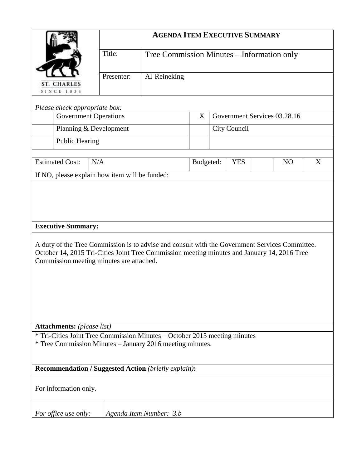|                                                                                                                                                                                                                                                                        |            | <b>AGENDA ITEM EXECUTIVE SUMMARY</b>       |           |                              |            |                |   |  |  |
|------------------------------------------------------------------------------------------------------------------------------------------------------------------------------------------------------------------------------------------------------------------------|------------|--------------------------------------------|-----------|------------------------------|------------|----------------|---|--|--|
|                                                                                                                                                                                                                                                                        | Title:     | Tree Commission Minutes - Information only |           |                              |            |                |   |  |  |
| <b>ST. CHARLES</b>                                                                                                                                                                                                                                                     | Presenter: | AJ Reineking                               |           |                              |            |                |   |  |  |
| <b>SINCE 1834</b>                                                                                                                                                                                                                                                      |            |                                            |           |                              |            |                |   |  |  |
| Please check appropriate box:                                                                                                                                                                                                                                          |            |                                            |           |                              |            |                |   |  |  |
| <b>Government Operations</b>                                                                                                                                                                                                                                           |            |                                            | X         | Government Services 03.28.16 |            |                |   |  |  |
| Planning & Development                                                                                                                                                                                                                                                 |            |                                            |           | City Council                 |            |                |   |  |  |
| <b>Public Hearing</b>                                                                                                                                                                                                                                                  |            |                                            |           |                              |            |                |   |  |  |
|                                                                                                                                                                                                                                                                        |            |                                            |           |                              |            |                |   |  |  |
| <b>Estimated Cost:</b>                                                                                                                                                                                                                                                 | N/A        |                                            | Budgeted: |                              | <b>YES</b> | N <sub>O</sub> | X |  |  |
| If NO, please explain how item will be funded:                                                                                                                                                                                                                         |            |                                            |           |                              |            |                |   |  |  |
| <b>Executive Summary:</b><br>A duty of the Tree Commission is to advise and consult with the Government Services Committee.<br>October 14, 2015 Tri-Cities Joint Tree Commission meeting minutes and January 14, 2016 Tree<br>Commission meeting minutes are attached. |            |                                            |           |                              |            |                |   |  |  |
| <b>Attachments:</b> (please list)                                                                                                                                                                                                                                      |            |                                            |           |                              |            |                |   |  |  |
| * Tri-Cities Joint Tree Commission Minutes – October 2015 meeting minutes<br>* Tree Commission Minutes – January 2016 meeting minutes.                                                                                                                                 |            |                                            |           |                              |            |                |   |  |  |
| <b>Recommendation / Suggested Action (briefly explain):</b>                                                                                                                                                                                                            |            |                                            |           |                              |            |                |   |  |  |
| For information only.                                                                                                                                                                                                                                                  |            |                                            |           |                              |            |                |   |  |  |
| For office use only:<br>Agenda Item Number: 3.b                                                                                                                                                                                                                        |            |                                            |           |                              |            |                |   |  |  |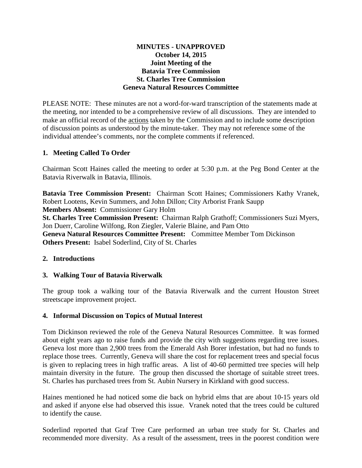## **MINUTES - UNAPPROVED October 14, 2015 Joint Meeting of the Batavia Tree Commission St. Charles Tree Commission Geneva Natural Resources Committee**

PLEASE NOTE: These minutes are not a word-for-ward transcription of the statements made at the meeting, nor intended to be a comprehensive review of all discussions. They are intended to make an official record of the actions taken by the Commission and to include some description of discussion points as understood by the minute-taker. They may not reference some of the individual attendee's comments, nor the complete comments if referenced.

## **1. Meeting Called To Order**

Chairman Scott Haines called the meeting to order at 5:30 p.m. at the Peg Bond Center at the Batavia Riverwalk in Batavia, Illinois.

**Batavia Tree Commission Present:** Chairman Scott Haines; Commissioners Kathy Vranek, Robert Lootens, Kevin Summers, and John Dillon; City Arborist Frank Saupp **Members Absent:** Commissioner Gary Holm

**St. Charles Tree Commission Present:** Chairman Ralph Grathoff; Commissioners Suzi Myers, Jon Duerr, Caroline Wilfong, Ron Ziegler, Valerie Blaine, and Pam Otto **Geneva Natural Resources Committee Present:** Committee Member Tom Dickinson **Others Present:** Isabel Soderlind, City of St. Charles

## **2. Introductions**

## **3. Walking Tour of Batavia Riverwalk**

The group took a walking tour of the Batavia Riverwalk and the current Houston Street streetscape improvement project.

### **4. Informal Discussion on Topics of Mutual Interest**

Tom Dickinson reviewed the role of the Geneva Natural Resources Committee. It was formed about eight years ago to raise funds and provide the city with suggestions regarding tree issues. Geneva lost more than 2,900 trees from the Emerald Ash Borer infestation, but had no funds to replace those trees. Currently, Geneva will share the cost for replacement trees and special focus is given to replacing trees in high traffic areas. A list of 40-60 permitted tree species will help maintain diversity in the future. The group then discussed the shortage of suitable street trees. St. Charles has purchased trees from St. Aubin Nursery in Kirkland with good success.

Haines mentioned he had noticed some die back on hybrid elms that are about 10-15 years old and asked if anyone else had observed this issue. Vranek noted that the trees could be cultured to identify the cause.

Soderlind reported that Graf Tree Care performed an urban tree study for St. Charles and recommended more diversity. As a result of the assessment, trees in the poorest condition were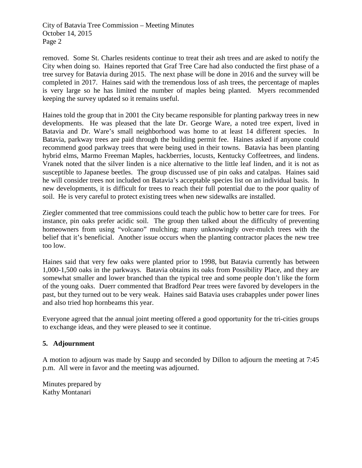City of Batavia Tree Commission – Meeting Minutes October 14, 2015 Page 2

removed. Some St. Charles residents continue to treat their ash trees and are asked to notify the City when doing so. Haines reported that Graf Tree Care had also conducted the first phase of a tree survey for Batavia during 2015. The next phase will be done in 2016 and the survey will be completed in 2017. Haines said with the tremendous loss of ash trees, the percentage of maples is very large so he has limited the number of maples being planted. Myers recommended keeping the survey updated so it remains useful.

Haines told the group that in 2001 the City became responsible for planting parkway trees in new developments. He was pleased that the late Dr. George Ware, a noted tree expert, lived in Batavia and Dr. Ware's small neighborhood was home to at least 14 different species. In Batavia, parkway trees are paid through the building permit fee. Haines asked if anyone could recommend good parkway trees that were being used in their towns. Batavia has been planting hybrid elms, Marmo Freeman Maples, hackberries, locusts, Kentucky Coffeetrees, and lindens. Vranek noted that the silver linden is a nice alternative to the little leaf linden, and it is not as susceptible to Japanese beetles. The group discussed use of pin oaks and catalpas. Haines said he will consider trees not included on Batavia's acceptable species list on an individual basis. In new developments, it is difficult for trees to reach their full potential due to the poor quality of soil. He is very careful to protect existing trees when new sidewalks are installed.

Ziegler commented that tree commissions could teach the public how to better care for trees. For instance, pin oaks prefer acidic soil. The group then talked about the difficulty of preventing homeowners from using "volcano" mulching; many unknowingly over-mulch trees with the belief that it's beneficial. Another issue occurs when the planting contractor places the new tree too low.

Haines said that very few oaks were planted prior to 1998, but Batavia currently has between 1,000-1,500 oaks in the parkways. Batavia obtains its oaks from Possibility Place, and they are somewhat smaller and lower branched than the typical tree and some people don't like the form of the young oaks. Duerr commented that Bradford Pear trees were favored by developers in the past, but they turned out to be very weak. Haines said Batavia uses crabapples under power lines and also tried hop hornbeams this year.

Everyone agreed that the annual joint meeting offered a good opportunity for the tri-cities groups to exchange ideas, and they were pleased to see it continue.

## **5. Adjournment**

A motion to adjourn was made by Saupp and seconded by Dillon to adjourn the meeting at 7:45 p.m. All were in favor and the meeting was adjourned.

Minutes prepared by Kathy Montanari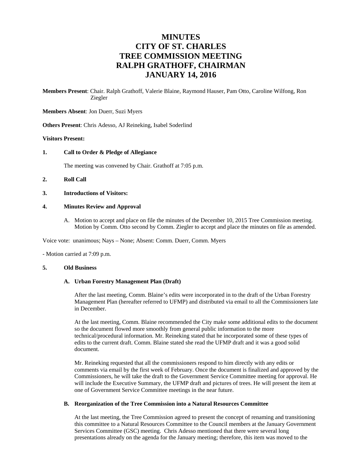# **MINUTES CITY OF ST. CHARLES TREE COMMISSION MEETING RALPH GRATHOFF, CHAIRMAN JANUARY 14, 2016**

**Members Present**: Chair. Ralph Grathoff, Valerie Blaine, Raymond Hauser, Pam Otto, Caroline Wilfong, Ron Ziegler

**Members Absent**: Jon Duerr, Suzi Myers

**Others Present**: Chris Adesso, AJ Reineking, Isabel Soderlind

#### **Visitors Present:**

#### **1. Call to Order & Pledge of Allegiance**

The meeting was convened by Chair. Grathoff at 7:05 p.m.

#### **2. Roll Call**

**3. Introductions of Visitors:** 

#### **4. Minutes Review and Approval**

A. Motion to accept and place on file the minutes of the December 10, 2015 Tree Commission meeting. Motion by Comm. Otto second by Comm. Ziegler to accept and place the minutes on file as amended.

Voice vote: unanimous; Nays – None; Absent: Comm. Duerr, Comm. Myers

- Motion carried at 7:09 p.m.

#### **5. Old Business**

#### **A. Urban Forestry Management Plan (Draft)**

After the last meeting, Comm. Blaine's edits were incorporated in to the draft of the Urban Forestry Management Plan (hereafter referred to UFMP) and distributed via email to all the Commissioners late in December.

At the last meeting, Comm. Blaine recommended the City make some additional edits to the document so the document flowed more smoothly from general public information to the more technical/procedural information. Mr. Reineking stated that he incorporated some of these types of edits to the current draft. Comm. Blaine stated she read the UFMP draft and it was a good solid document.

Mr. Reineking requested that all the commissioners respond to him directly with any edits or comments via email by the first week of February. Once the document is finalized and approved by the Commissioners, he will take the draft to the Government Service Committee meeting for approval. He will include the Executive Summary, the UFMP draft and pictures of trees. He will present the item at one of Government Service Committee meetings in the near future.

#### **B. Reorganization of the Tree Commission into a Natural Resources Committee**

At the last meeting, the Tree Commission agreed to present the concept of renaming and transitioning this committee to a Natural Resources Committee to the Council members at the January Government Services Committee (GSC) meeting. Chris Adesso mentioned that there were several long presentations already on the agenda for the January meeting; therefore, this item was moved to the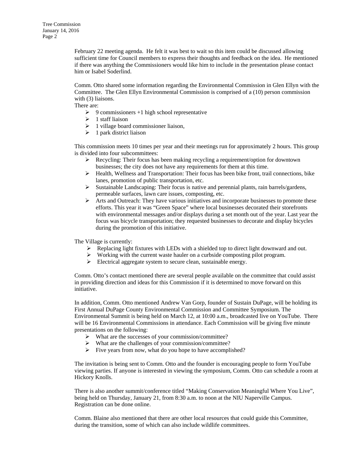February 22 meeting agenda. He felt it was best to wait so this item could be discussed allowing sufficient time for Council members to express their thoughts and feedback on the idea. He mentioned if there was anything the Commissioners would like him to include in the presentation please contact him or Isabel Soderlind.

Comm. Otto shared some information regarding the Environmental Commission in Glen Ellyn with the Committee. The Glen Ellyn Environmental Commission is comprised of a (10) person commission with (3) liaisons.

There are:

- $\geq 9$  commissioners +1 high school representative
- $\geq 1$  staff liaison
- $\geq 1$  village board commissioner liaison,
- $\geq 1$  park district liaison

This commission meets 10 times per year and their meetings run for approximately 2 hours. This group is divided into four subcommittees:

- $\triangleright$  Recycling: Their focus has been making recycling a requirement/option for downtown businesses; the city does not have any requirements for them at this time.
- $\triangleright$  Health, Wellness and Transportation: Their focus has been bike front, trail connections, bike lanes, promotion of public transportation, etc.
- $\triangleright$  Sustainable Landscaping: Their focus is native and perennial plants, rain barrels/gardens, permeable surfaces, lawn care issues, composting, etc.
- $\triangleright$  Arts and Outreach: They have various initiatives and incorporate businesses to promote these efforts. This year it was "Green Space" where local businesses decorated their storefronts with environmental messages and/or displays during a set month out of the year. Last year the focus was bicycle transportation; they requested businesses to decorate and display bicycles during the promotion of this initiative.

The Village is currently:

- $\triangleright$  Replacing light fixtures with LEDs with a shielded top to direct light downward and out.
- $\triangleright$  Working with the current waste hauler on a curbside composting pilot program.
- $\triangleright$  Electrical aggregate system to secure clean, sustainable energy.

Comm. Otto's contact mentioned there are several people available on the committee that could assist in providing direction and ideas for this Commission if it is determined to move forward on this initiative.

In addition, Comm. Otto mentioned Andrew Van Gorp, founder of Sustain DuPage, will be holding its First Annual DuPage County Environmental Commission and Committee Symposium. The Environmental Summit is being held on March 12, at 10:00 a.m., broadcasted live on YouTube. There will be 16 Environmental Commissions in attendance. Each Commission will be giving five minute presentations on the following:

- What are the successes of your commission/committee?
- $\triangleright$  What are the challenges of your commission/committee?
- $\triangleright$  Five years from now, what do you hope to have accomplished?

The invitation is being sent to Comm. Otto and the founder is encouraging people to form YouTube viewing parties. If anyone is interested in viewing the symposium, Comm. Otto can schedule a room at Hickory Knolls.

There is also another summit/conference titled "Making Conservation Meaningful Where You Live", being held on Thursday, January 21, from 8:30 a.m. to noon at the NIU Naperville Campus. Registration can be done online.

Comm. Blaine also mentioned that there are other local resources that could guide this Committee, during the transition, some of which can also include wildlife committees.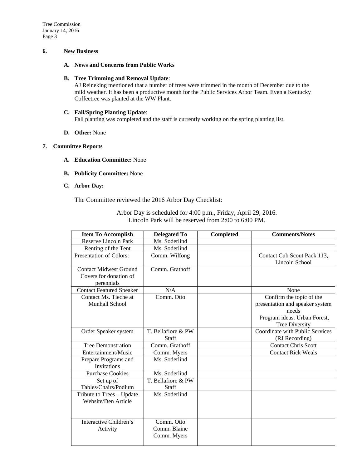Tree Commission January 14, 2016 Page 3

#### **6. New Business**

### **A. News and Concerns from Public Works**

### **B. Tree Trimming and Removal Update**:

AJ Reineking mentioned that a number of trees were trimmed in the month of December due to the mild weather. It has been a productive month for the Public Services Arbor Team. Even a Kentucky Coffeetree was planted at the WW Plant.

### **C. Fall/Spring Planting Update**: Fall planting was completed and the staff is currently working on the spring planting list.

**D. Other:** None

### **7. Committee Reports**

- **A. Education Committee:** None
- **B. Publicity Committee:** None
- **C. Arbor Day:**

The Committee reviewed the 2016 Arbor Day Checklist:

| <b>Item To Accomplish</b>                                             | <b>Delegated To</b>                       | <b>Completed</b> | <b>Comments/Notes</b>                                                                                                         |
|-----------------------------------------------------------------------|-------------------------------------------|------------------|-------------------------------------------------------------------------------------------------------------------------------|
| Reserve Lincoln Park                                                  | Ms. Soderlind                             |                  |                                                                                                                               |
| Renting of the Tent                                                   | Ms. Soderlind                             |                  |                                                                                                                               |
| Presentation of Colors:                                               | Comm. Wilfong                             |                  | Contact Cub Scout Pack 113,<br>Lincoln School                                                                                 |
| <b>Contact Midwest Ground</b><br>Covers for donation of<br>perennials | Comm. Grathoff                            |                  |                                                                                                                               |
| <b>Contact Featured Speaker</b>                                       | N/A                                       |                  | None                                                                                                                          |
| Contact Ms. Tieche at<br>Munhall School                               | Comm. Otto                                |                  | Confirm the topic of the<br>presentation and speaker system<br>needs<br>Program ideas: Urban Forest,<br><b>Tree Diversity</b> |
| Order Speaker system                                                  | T. Bellafiore & PW                        |                  | Coordinate with Public Services                                                                                               |
|                                                                       | Staff                                     |                  | (RJ Recording)                                                                                                                |
| <b>Tree Demonstration</b>                                             | Comm. Grathoff                            |                  | <b>Contact Chris Scott</b>                                                                                                    |
| Entertainment/Music                                                   | Comm. Myers                               |                  | <b>Contact Rick Weals</b>                                                                                                     |
| Prepare Programs and<br><b>Invitations</b>                            | Ms. Soderlind                             |                  |                                                                                                                               |
| <b>Purchase Cookies</b>                                               | Ms. Soderlind                             |                  |                                                                                                                               |
| Set up of<br>Tables/Chairs/Podium                                     | T. Bellafiore & PW<br>Staff               |                  |                                                                                                                               |
| Tribute to Trees - Update<br>Website/Den Article                      | Ms. Soderlind                             |                  |                                                                                                                               |
| Interactive Children's<br>Activity                                    | Comm. Otto<br>Comm. Blaine<br>Comm. Myers |                  |                                                                                                                               |

Arbor Day is scheduled for 4:00 p.m., Friday, April 29, 2016. Lincoln Park will be reserved from 2:00 to 6:00 PM.